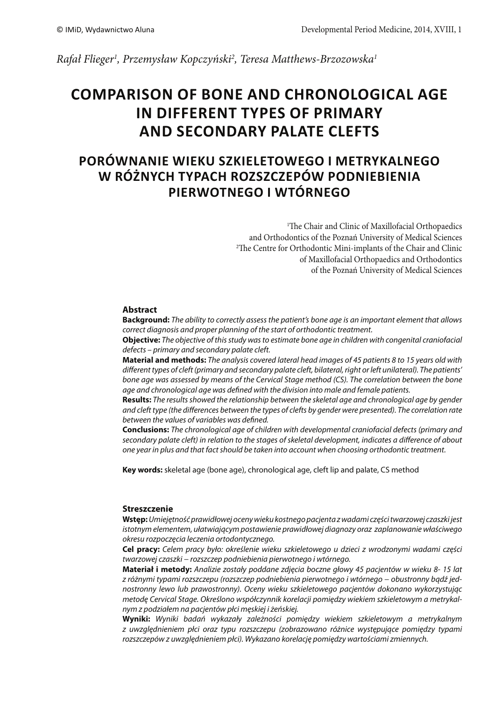Rafał Flieger<sup>1</sup>, Przemysław Kopczyński<sup>2</sup>, Teresa Matthews-Brzozowska<sup>1</sup>

# **COMPARISON OF BONE AND CHRONOLOGICAL AGE IN DIFFERENT TYPES OF PRIMARY AND SECONDARY PALATE CLEFTS**

## **PORÓWNANIE WIEKU SZKIELETOWEGO I METRYKALNEGO W RÓŻNYCH TYPACH ROZSZCZEPÓW PODNIEBIENIA PIERWOTNEGO I WTÓRNEGO**

<sup>1</sup>The Chair and Clinic of Maxillofacial Orthopaedics and Orthodontics of the Poznań University of Medical Sciences <sup>2</sup>The Centre for Orthodontic Mini-implants of the Chair and Clinic of Maxillofacial Orthopaedics and Orthodontics of the Poznań University of Medical Sciences

## **Abstract**

**Background:** The ability to correctly assess the patient's bone age is an important element that allows correct diagnosis and proper planning of the start of orthodontic treatment.

**Objective:** The objective of this study was to estimate bone age in children with congenital craniofacial defects – primary and secondary palate cleft.

**Material and methods:** The analysis covered lateral head images of 45 patients 8 to 15 years old with different types of cleft (primary and secondary palate cleft, bilateral, right or left unilateral). The patients' bone age was assessed by means of the Cervical Stage method (CS). The correlation between the bone age and chronological age was defined with the division into male and female patients.

**Results:** The results showed the relationship between the skeletal age and chronological age by gender and cleft type (the differences between the types of clefts by gender were presented). The correlation rate between the values of variables was defined.

**Conclusions:** The chronological age of children with developmental craniofacial defects (primary and secondary palate cleft) in relation to the stages of skeletal development, indicates a difference of about one year in plus and that fact should be taken into account when choosing orthodontic treatment.

**Key words:** skeletal age (bone age), chronological age, cleft lip and palate, CS method

#### **Streszczenie**

**Wstęp:** Umiejętność prawidłowej oceny wieku kostnego pacjenta z wadami części twarzowej czaszki jest istotnym elementem, ułatwiającym postawienie prawidłowej diagnozy oraz zaplanowanie właściwego okresu rozpoczęcia leczenia ortodontycznego.

**Cel pracy:** Celem pracy było: określenie wieku szkieletowego u dzieci z wrodzonymi wadami części twarzowej czaszki − rozszczep podniebienia pierwotnego i wtórnego.

**Materiał i metody:** Analizie zostały poddane zdjęcia boczne głowy 45 pacjentów w wieku 8- 15 lat z różnymi typami rozszczepu (rozszczep podniebienia pierwotnego i wtórnego − obustronny bądź jednostronny lewo lub prawostronny). Oceny wieku szkieletowego pacjentów dokonano wykorzystując metodę Cervical Stage. Określono współczynnik korelacji pomiędzy wiekiem szkieletowym a metrykalnym z podziałem na pacjentów płci męskiej i żeńskiej.

**Wyniki:** Wyniki badań wykazały zależności pomiędzy wiekiem szkieletowym a metrykalnym z uwzględnieniem płci oraz typu rozszczepu (zobrazowano różnice występujące pomiędzy typami rozszczepów z uwzględnieniem płci). Wykazano korelację pomiędzy wartościami zmiennych.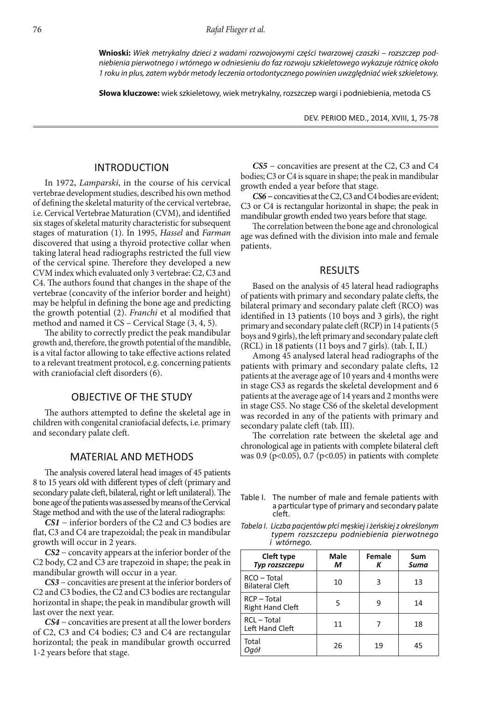**Wnioski:** Wiek metrykalny dzieci z wadami rozwojowymi części twarzowej czaszki – rozszczep podniebienia pierwotnego i wtórnego w odniesieniu do faz rozwoju szkieletowego wykazuje różnicę około 1 roku in plus, zatem wybór metody leczenia ortodontycznego powinien uwzględniać wiek szkieletowy.

**Słowa kluczowe:** wiek szkieletowy, wiek metrykalny, rozszczep wargi i podniebienia, metoda CS

DEV. PERIOD MED., 2014, XVIII, 1, 75-78

#### INTRODUCTION

In 1972, Lamparski, in the course of his cervical vertebrae development studies, described his own method of defining the skeletal maturity of the cervical vertebrae, i.e. Cervical Vertebrae Maturation (CVM), and identified six stages of skeletal maturity characteristic for subsequent stages of maturation (1). In 1995, Hassel and Farman discovered that using a thyroid protective collar when taking lateral head radiographs restricted the full view of the cervical spine. Therefore they developed a new CVM index which evaluated only 3 vertebrae: C2, C3 and C4. The authors found that changes in the shape of the vertebrae (concavity of the inferior border and height) may be helpful in defining the bone age and predicting the growth potential (2). Franchi et al modified that method and named it CS – Cervical Stage (3, 4, 5).

The ability to correctly predict the peak mandibular growth and, therefore, the growth potential of the mandible, is a vital factor allowing to take effective actions related to a relevant treatment protocol, e.g. concerning patients with craniofacial cleft disorders (6).

#### OBJECTIVE OF THE STUDY

The authors attempted to define the skeletal age in children with congenital craniofacial defects, i.e. primary and secondary palate cleft.

#### MATERIAL AND METHODS

The analysis covered lateral head images of 45 patients 8 to 15 years old with different types of cleft (primary and secondary palate cleft, bilateral, right or left unilateral). The bone age of the patients was assessed by means of the Cervical Stage method and with the use of the lateral radiographs:

**CS1** − inferior borders of the C2 and C3 bodies are flat, C3 and C4 are trapezoidal; the peak in mandibular growth will occur in 2 years.

**CS2** − concavity appears at the inferior border of the C2 body, C2 and C3 are trapezoid in shape; the peak in mandibular growth will occur in a year.

**CS3** − concavities are present at the inferior borders of C2 and C3 bodies, the C2 and C3 bodies are rectangular horizontal in shape; the peak in mandibular growth will last over the next year.

**CS4** − concavities are present at all the lower borders of C2, C3 and C4 bodies; C3 and C4 are rectangular horizontal; the peak in mandibular growth occurred 1-2 years before that stage.

**CS5** − concavities are present at the C2, C3 and C4 bodies; C3 or C4 is square in shape; the peak in mandibular growth ended a year before that stage.

**CS6 −** concavities at the C2, C3 and C4 bodies are evident; C3 or C4 is rectangular horizontal in shape; the peak in mandibular growth ended two years before that stage.

The correlation between the bone age and chronological age was defined with the division into male and female patients.

#### RESULTS

Based on the analysis of 45 lateral head radiographs of patients with primary and secondary palate clefts, the bilateral primary and secondary palate cleft (RCO) was identified in 13 patients (10 boys and 3 girls), the right primary and secondary palate cleft (RCP) in 14 patients (5 boys and 9 girls), the left primary and secondary palate cleft (RCL) in 18 patients (11 boys and 7 girls). (tab. I, II.)

Among 45 analysed lateral head radiographs of the patients with primary and secondary palate clefts, 12 patients at the average age of 10 years and 4 months were in stage CS3 as regards the skeletal development and 6 patients at the average age of 14 years and 2 months were in stage CS5. No stage CS6 of the skeletal development was recorded in any of the patients with primary and secondary palate cleft (tab. III).

The correlation rate between the skeletal age and chronological age in patients with complete bilateral cleft was 0.9 (p<0.05), 0.7 (p<0.05) in patients with complete

Table I. The number of male and female patients with a particular type of primary and secondary palate cleft.

*Tabela I. Liczba pacjentów płci męskiej i żeńskiej z określonym typem rozszczepu podniebienia pierwotnego i wtórnego.*

| Cleft type<br>Typ rozszczepu             | Male<br>М | Female<br>Κ | Sum<br>Suma |
|------------------------------------------|-----------|-------------|-------------|
| RCO - Total<br><b>Bilateral Cleft</b>    | 10        | 3           | 13          |
| $RCP - Total$<br><b>Right Hand Cleft</b> | 5         | q           | 14          |
| RCL-Total<br>Left Hand Cleft             | 11        |             | 18          |
| Total<br>Ogół                            | 26        | 19          | 45          |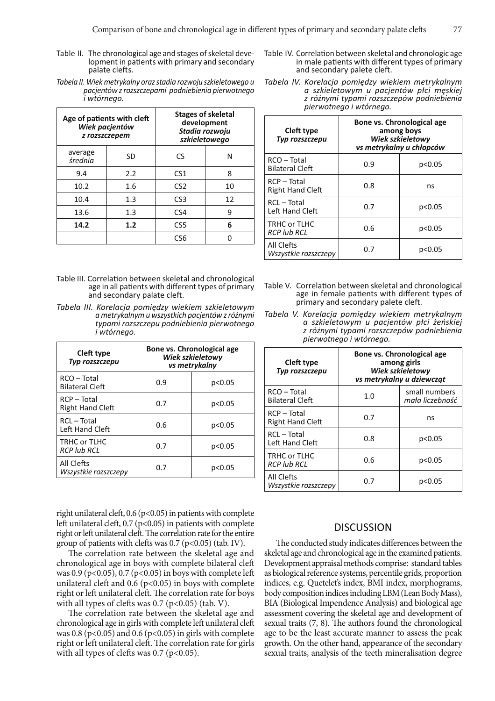- Table II. The chronological age and stages of skeletal development in patients with primary and secondary palate clefts.
- *Tabela II. Wiek metrykalny oraz stadia rozwoju szkieletowego u pacjentów z rozszczepami podniebienia pierwotnego i wtórnego.*

| Age of patients with cleft<br>Wiek pacjentów<br>z rozszczepem |     | <b>Stages of skeletal</b><br>development<br>Stadia rozwoju<br>szkieletowego |    |
|---------------------------------------------------------------|-----|-----------------------------------------------------------------------------|----|
| average<br>średnia                                            | SD  | CS                                                                          | N  |
| 9.4                                                           | 2.2 | CS <sub>1</sub>                                                             | 8  |
| 10.2                                                          | 1.6 | CS <sub>2</sub>                                                             | 10 |
| 10.4                                                          | 1.3 | CS <sub>3</sub>                                                             | 12 |
| 13.6                                                          | 1.3 | CS <sub>4</sub>                                                             | 9  |
| 14.2                                                          | 1.2 | CS <sub>5</sub>                                                             | 6  |
|                                                               |     | CS6                                                                         |    |

- Table III. Correlation between skeletal and chronological age in all patients with different types of primary and secondary palate cleft.
- *Tabela III. Korelacja pomiędzy wiekiem szkieletowym a metrykalnym u wszystkich pacjentów z różnymi typami rozszczepu podniebienia pierwotnego i wtórnego.*

| Cleft type<br><b>Typ rozszczepu</b>      | Bone vs. Chronological age<br>Wiek szkieletowy<br>vs metrykalny |        |
|------------------------------------------|-----------------------------------------------------------------|--------|
| RCO - Total<br><b>Bilateral Cleft</b>    | 0.9                                                             | p<0.05 |
| $RCP - Total$<br><b>Right Hand Cleft</b> | 0.7                                                             | p<0.05 |
| RCL - Total<br>Left Hand Cleft           | 0.6                                                             | p<0.05 |
| TRHC or TLHC<br><b>RCP lub RCL</b>       | 0.7                                                             | p<0.05 |
| All Clefts<br>Wszystkie rozszczepy       | 0.7                                                             | p<0.05 |

right unilateral cleft,  $0.6$  (p<0.05) in patients with complete left unilateral cleft,  $0.7$  (p<0.05) in patients with complete right or left unilateral cleft. The correlation rate for the entire group of patients with clefts was  $0.7$  (p<0.05) (tab. IV).

The correlation rate between the skeletal age and chronological age in boys with complete bilateral cleft was 0.9 (p<0.05), 0.7 (p<0.05) in boys with complete left unilateral cleft and  $0.6$  (p<0.05) in boys with complete right or left unilateral cleft. The correlation rate for boys with all types of clefts was  $0.7$  (p<0.05) (tab. V).

The correlation rate between the skeletal age and chronological age in girls with complete left unilateral cleft was 0.8 ( $p$ <0.05) and 0.6 ( $p$ <0.05) in girls with complete right or left unilateral cleft. The correlation rate for girls with all types of clefts was  $0.7$  (p<0.05).

- Table IV. Correlation between skeletal and chronologic age in male patients with different types of primary and secondary palete cleft.
- *Tabela IV. Korelacja pomiędzy wiekiem metrykalnym a szkieletowym u pacjentów płci męskiej z różnymi typami rozszczepów podniebienia pierwotnego i wtórnego.*

| Cleft type<br>Typ rozszczepu             | Bone vs. Chronological age<br>among boys<br>Wiek szkieletowy<br>vs metrykalny u chłopców |        |
|------------------------------------------|------------------------------------------------------------------------------------------|--------|
| RCO - Total<br><b>Bilateral Cleft</b>    | 0.9                                                                                      | p<0.05 |
| $RCP - Total$<br><b>Right Hand Cleft</b> | 0.8                                                                                      | ns     |
| RCL-Total<br>Left Hand Cleft             | 0.7                                                                                      | p<0.05 |
| TRHC or TLHC<br><b>RCP lub RCL</b>       | 0.6                                                                                      | p<0.05 |
| All Clefts<br>Wszystkie rozszczepy       | 0.7                                                                                      | p<0.05 |

- Table V. Correlation between skeletal and chronological age in female patients with different types of primary and secondary palete cleft.
- *Tabela V. Korelacja pomiędzy wiekiem metrykalnym a szkieletowym u pacjentów płci żeńskiej z różnymi typami rozszczepów podniebienia pierwotnego i wtórnego.*

| Cleft type<br><b>Typ rozszczepu</b>      | Bone vs. Chronological age<br>among girls<br><b>Wiek szkieletowy</b><br>vs metrykalny u dziewcząt |                                  |
|------------------------------------------|---------------------------------------------------------------------------------------------------|----------------------------------|
| RCO - Total<br><b>Bilateral Cleft</b>    | 1.0                                                                                               | small numbers<br>mała liczebność |
| $RCP - Total$<br><b>Right Hand Cleft</b> | 0.7                                                                                               | ns                               |
| RCL - Total<br>Left Hand Cleft           | 0.8                                                                                               | p<0.05                           |
| TRHC or TLHC<br><b>RCP lub RCL</b>       | 0.6                                                                                               | p<0.05                           |
| All Clefts<br>Wszystkie rozszczepy       | 0.7                                                                                               | p<0.05                           |

#### **DISCUSSION**

The conducted study indicates differences between the skeletal age and chronological age in the examined patients. Development appraisal methods comprise: standard tables as biological reference systems, percentile grids, proportion indices, e.g. Quetelet's index, BMI index, morphograms, body composition indices including LBM (Lean Body Mass), BIA (Biological Impendence Analysis) and biological age assessment covering the skeletal age and development of sexual traits  $(7, 8)$ . The authors found the chronological age to be the least accurate manner to assess the peak growth. On the other hand, appearance of the secondary sexual traits, analysis of the teeth mineralisation degree